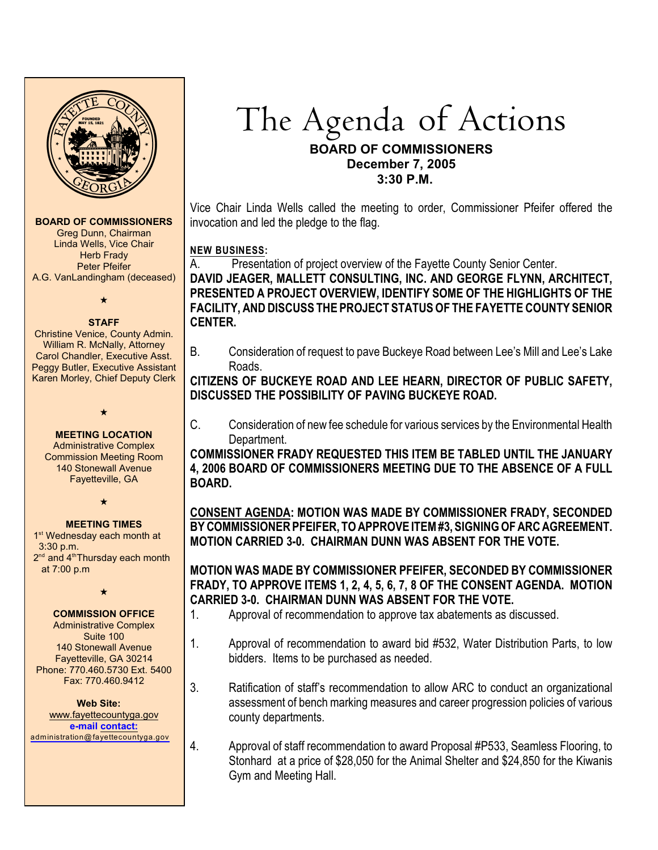

## **BOARD OF COMMISSIONERS**

Greg Dunn, Chairman Linda Wells, Vice Chair **Herb Frady** Peter Pfeifer A.G. VanLandingham (deceased)

 $\star$ 

#### **STAFF**

Christine Venice, County Admin. William R. McNally, Attorney Carol Chandler, Executive Asst. Peggy Butler, Executive Assistant Karen Morley, Chief Deputy Clerk

## **MEETING LOCATION**

 $\star$ 

Administrative Complex Commission Meeting Room 140 Stonewall Avenue Fayetteville, GA

 $\star$ 

## **MEETING TIMES**

1<sup>st</sup> Wednesday each month at 3:30 p.m.  $2<sup>nd</sup>$  and  $4<sup>th</sup>$ Thursday each month at 7:00 p.m

 $\star$ 

## **COMMISSION OFFICE**

Administrative Complex Suite 100 140 Stonewall Avenue Fayetteville, GA 30214 Phone: 770.460.5730 Ext. 5400 Fax: 770.460.9412

 **Web Site:** [www.fayettecountyga.gov](http://www.admin.co.fayette.ga.us) **e-mail [contact:](mailto:administration@fayettecountyga.gov)** [administration@fayettecountyga.gov](mailto:administration@fayettecountyga.gov)

# The Agenda of Actions **BOARD OF COMMISSIONERS**

## **December 7, 2005**

 **3:30 P.M.**

Vice Chair Linda Wells called the meeting to order, Commissioner Pfeifer offered the invocation and led the pledge to the flag.

## **NEW BUSINESS:**

A. Presentation of project overview of the Fayette County Senior Center.

**DAVID JEAGER, MALLETT CONSULTING, INC. AND GEORGE FLYNN, ARCHITECT, PRESENTED A PROJECT OVERVIEW, IDENTIFY SOME OF THE HIGHLIGHTS OF THE FACILITY, AND DISCUSS THE PROJECT STATUS OF THE FAYETTE COUNTY SENIOR CENTER.** 

B. Consideration of request to pave Buckeye Road between Lee's Mill and Lee's Lake Roads.

**CITIZENS OF BUCKEYE ROAD AND LEE HEARN, DIRECTOR OF PUBLIC SAFETY, DISCUSSED THE POSSIBILITY OF PAVING BUCKEYE ROAD.**

C. Consideration of new fee schedule for various services by the Environmental Health Department.

**COMMISSIONER FRADY REQUESTED THIS ITEM BE TABLED UNTIL THE JANUARY 4, 2006 BOARD OF COMMISSIONERS MEETING DUE TO THE ABSENCE OF A FULL BOARD.**

**CONSENT AGENDA: MOTION WAS MADE BY COMMISSIONER FRADY, SECONDED BY COMMISSIONER PFEIFER, TO APPROVE ITEM #3, SIGNING OF ARC AGREEMENT. MOTION CARRIED 3-0. CHAIRMAN DUNN WAS ABSENT FOR THE VOTE.**

## **MOTION WAS MADE BY COMMISSIONER PFEIFER, SECONDED BY COMMISSIONER FRADY, TO APPROVE ITEMS 1, 2, 4, 5, 6, 7, 8 OF THE CONSENT AGENDA. MOTION CARRIED 3-0. CHAIRMAN DUNN WAS ABSENT FOR THE VOTE.**

- 1. Approval of recommendation to approve tax abatements as discussed.
- 1. Approval of recommendation to award bid #532, Water Distribution Parts, to low bidders. Items to be purchased as needed.
- 3. Ratification of staff's recommendation to allow ARC to conduct an organizational assessment of bench marking measures and career progression policies of various county departments.
- 4. Approval of staff recommendation to award Proposal #P533, Seamless Flooring, to Stonhard at a price of \$28,050 for the Animal Shelter and \$24,850 for the Kiwanis Gym and Meeting Hall.